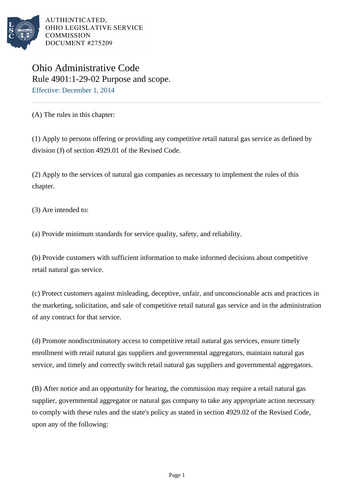

AUTHENTICATED. OHIO LEGISLATIVE SERVICE **COMMISSION** DOCUMENT #275209

## Ohio Administrative Code Rule 4901:1-29-02 Purpose and scope. Effective: December 1, 2014

(A) The rules in this chapter:

(1) Apply to persons offering or providing any competitive retail natural gas service as defined by division (J) of section 4929.01 of the Revised Code.

(2) Apply to the services of natural gas companies as necessary to implement the rules of this chapter.

(3) Are intended to:

(a) Provide minimum standards for service quality, safety, and reliability.

(b) Provide customers with sufficient information to make informed decisions about competitive retail natural gas service.

(c) Protect customers against misleading, deceptive, unfair, and unconscionable acts and practices in the marketing, solicitation, and sale of competitive retail natural gas service and in the administration of any contract for that service.

(d) Promote nondiscriminatory access to competitive retail natural gas services, ensure timely enrollment with retail natural gas suppliers and governmental aggregators, maintain natural gas service, and timely and correctly switch retail natural gas suppliers and governmental aggregators.

(B) After notice and an opportunity for hearing, the commission may require a retail natural gas supplier, governmental aggregator or natural gas company to take any appropriate action necessary to comply with these rules and the state's policy as stated in section 4929.02 of the Revised Code, upon any of the following: